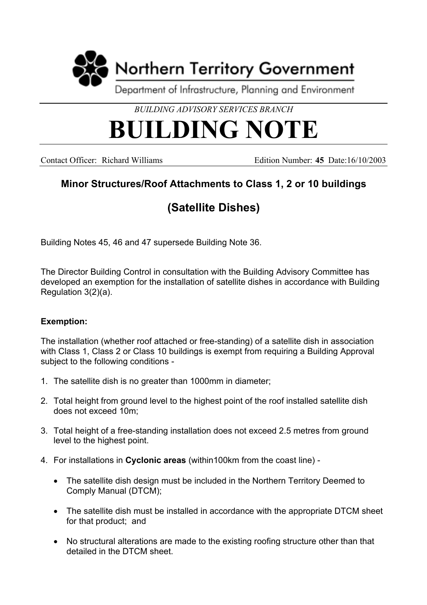

*BUILDING ADVISORY SERVICES BRANCH*

## **BUILDING NOTE**

Contact Officer: Richard Williams Edition Number: **45** Date:16/10/2003

## **Minor Structures/Roof Attachments to Class 1, 2 or 10 buildings**

## **(Satellite Dishes)**

Building Notes 45, 46 and 47 supersede Building Note 36.

The Director Building Control in consultation with the Building Advisory Committee has developed an exemption for the installation of satellite dishes in accordance with Building Regulation 3(2)(a).

## **Exemption:**

The installation (whether roof attached or free-standing) of a satellite dish in association with Class 1, Class 2 or Class 10 buildings is exempt from requiring a Building Approval subject to the following conditions -

- 1. The satellite dish is no greater than 1000mm in diameter;
- 2. Total height from ground level to the highest point of the roof installed satellite dish does not exceed 10m;
- 3. Total height of a free-standing installation does not exceed 2.5 metres from ground level to the highest point.
- 4. For installations in **Cyclonic areas** (within100km from the coast line)
	- The satellite dish design must be included in the Northern Territory Deemed to Comply Manual (DTCM);
	- The satellite dish must be installed in accordance with the appropriate DTCM sheet for that product; and
	- No structural alterations are made to the existing roofing structure other than that detailed in the DTCM sheet.